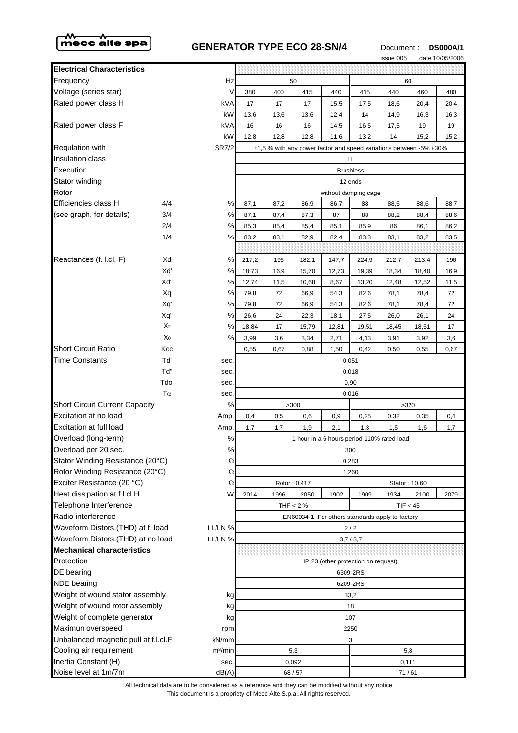

## **GENERATOR TYPE ECO 28-SN/4** Document : **DS000A/1**



|                                              |                |                                                  |                                                                    |      |              |       |                                     | issue 005     |       | date 10/05/2006 |
|----------------------------------------------|----------------|--------------------------------------------------|--------------------------------------------------------------------|------|--------------|-------|-------------------------------------|---------------|-------|-----------------|
| <b>Electrical Characteristics</b>            |                |                                                  |                                                                    |      |              |       |                                     |               |       |                 |
| Frequency                                    |                | Hz                                               |                                                                    |      | 50           |       |                                     | 60            |       |                 |
| Voltage (series star)                        |                | ٧                                                | 380                                                                | 400  | 415          | 440   | 415                                 | 440           | 460   | 480             |
| Rated power class H                          |                | kVA                                              | 17                                                                 | 17   | 17           | 15,5  | 17,5                                | 18,6          | 20,4  | 20,4            |
|                                              |                | kW                                               | 13,6                                                               | 13,6 | 13,6         | 12,4  | 14                                  | 14,9          | 16,3  | 16,3            |
| Rated power class F                          |                | kVA                                              | 16                                                                 | 16   | 16           | 14,5  | 16,5                                | 17,5          | 19    | 19              |
|                                              |                | kW                                               | 12,8                                                               | 12,8 | 12,8         | 11,6  | 13,2                                | 14            | 15,2  | 15,2            |
| <b>Regulation with</b>                       |                | <b>SR7/2</b>                                     | ±1,5 % with any power factor and speed variations between -5% +30% |      |              |       |                                     |               |       |                 |
| <b>Insulation class</b>                      |                | н                                                |                                                                    |      |              |       |                                     |               |       |                 |
| Execution                                    |                | <b>Brushless</b>                                 |                                                                    |      |              |       |                                     |               |       |                 |
| Stator winding                               |                |                                                  | 12 ends                                                            |      |              |       |                                     |               |       |                 |
| Rotor                                        |                |                                                  | without damping cage                                               |      |              |       |                                     |               |       |                 |
| Efficiencies class H                         | 4/4            | ℅                                                | 87,1                                                               | 87,2 | 86,9         | 86,7  | 88                                  | 88,5          | 88,6  | 88,7            |
| (see graph. for details)                     | 3/4            | $\%$                                             | 87,1                                                               | 87,4 | 87,3         | 87    | 88                                  | 88,2          | 88,4  | 88,6            |
|                                              | 2/4            | ℅                                                | 85,3                                                               | 85,4 | 85,4         | 85,1  | 85,9                                | 86            | 86,1  | 86,2            |
|                                              | 1/4            | %                                                | 83,2                                                               | 83,1 | 82,9         | 82,4  | 83,3                                | 83,1          | 83,2  | 83,5            |
|                                              |                |                                                  |                                                                    |      |              |       |                                     |               |       |                 |
| Reactances (f. l.cl. F)                      | Xd             | ℅                                                | 217,2                                                              | 196  | 182,1        | 147,7 | 224,9                               | 212,7         | 213,4 | 196             |
|                                              | Xď             | ℅                                                | 18,73                                                              | 16,9 | 15,70        | 12,73 | 19,39                               | 18,34         | 18,40 | 16,9            |
|                                              | Xď             | ℅                                                | 12,74                                                              | 11,5 | 10,68        | 8,67  | 13,20                               | 12,48         | 12,52 | 11,5            |
|                                              | Xq             | $\%$                                             | 79,8                                                               | 72   | 66,9         | 54,3  | 82,6                                | 78,1          | 78,4  | 72              |
|                                              | Xq'            | ℅                                                | 79,8                                                               | 72   | 66,9         | 54,3  | 82,6                                | 78,1          | 78,4  | 72              |
|                                              | Xq"            | $\%$                                             | 26,6                                                               | 24   | 22,3         | 18,1  | 27,5                                | 26,0          | 26,1  | 24              |
|                                              | X <sub>2</sub> | $\%$                                             | 18,84                                                              | 17   | 15,79        | 12,81 | 19,51                               | 18,45         | 18,51 | 17              |
|                                              | Χo             | %                                                | 3,99                                                               | 3,6  | 3,34         | 2,71  | 4,13                                | 3,91          | 3,92  | 3,6             |
| <b>Short Circuit Ratio</b>                   | Kcc            |                                                  | 0,55                                                               | 0,67 | 0,88         | 1,50  | 0,42                                | 0,50          | 0,55  | 0,67            |
| <b>Time Constants</b>                        | Tď             | sec.                                             | 0,051                                                              |      |              |       |                                     |               |       |                 |
|                                              | Td"            | sec.                                             | 0,018                                                              |      |              |       |                                     |               |       |                 |
|                                              | Tdo'           | sec.                                             | 0,90                                                               |      |              |       |                                     |               |       |                 |
| $T\alpha$                                    |                | sec.                                             | 0,016                                                              |      |              |       |                                     |               |       |                 |
| <b>Short Circuit Current Capacity</b>        |                | %                                                |                                                                    |      | >300         |       |                                     | >320          |       |                 |
| Excitation at no load                        |                | Amp.                                             | 0,4                                                                | 0,5  | 0,6          | 0,9   | 0,25                                | 0,32          | 0,35  | 0,4             |
| Excitation at full load                      |                | Amp.                                             | 1,7                                                                | 1,7  | 1,9          | 2,1   | 1,3                                 | 1,5           | 1,6   | 1,7             |
| Overload (long-term)                         |                | $\%$                                             | 1 hour in a 6 hours period 110% rated load                         |      |              |       |                                     |               |       |                 |
| Overload per 20 sec.<br>℅                    |                | 300                                              |                                                                    |      |              |       |                                     |               |       |                 |
| Stator Winding Resistance (20°C)<br>$\Omega$ |                | 0,283                                            |                                                                    |      |              |       |                                     |               |       |                 |
| Rotor Winding Resistance (20°C)              |                | Ω                                                | 1,260                                                              |      |              |       |                                     |               |       |                 |
| Exciter Resistance (20 °C)                   |                | Ω                                                |                                                                    |      | Rotor: 0,417 |       |                                     | Stator: 10,60 |       |                 |
| Heat dissipation at f.l.cl.H                 |                | W                                                | 2014                                                               | 1996 | 2050         | 1902  | 1909                                | 1934          | 2100  | 2079            |
| Telephone Interference                       |                |                                                  | THF $< 2%$<br>TIF < 45                                             |      |              |       |                                     |               |       |                 |
| Radio interference                           |                | EN60034-1. For others standards apply to factory |                                                                    |      |              |       |                                     |               |       |                 |
| Waveform Distors.(THD) at f. load<br>LL/LN % |                | $2/2$                                            |                                                                    |      |              |       |                                     |               |       |                 |
| Waveform Distors.(THD) at no load<br>LL/LN % |                | 3,7/3,7                                          |                                                                    |      |              |       |                                     |               |       |                 |
| <b>Mechanical characteristics</b>            |                |                                                  |                                                                    |      |              |       |                                     |               |       |                 |
| Protection                                   |                |                                                  |                                                                    |      |              |       | IP 23 (other protection on request) |               |       |                 |
| DE bearing                                   |                | 6309-2RS                                         |                                                                    |      |              |       |                                     |               |       |                 |
| <b>NDE</b> bearing                           |                | 6209-2RS                                         |                                                                    |      |              |       |                                     |               |       |                 |
| Weight of wound stator assembly<br>kg        |                | 33,2                                             |                                                                    |      |              |       |                                     |               |       |                 |
| Weight of wound rotor assembly<br>kg         |                | 18                                               |                                                                    |      |              |       |                                     |               |       |                 |
| Weight of complete generator<br>kg           |                | 107                                              |                                                                    |      |              |       |                                     |               |       |                 |
| Maximun overspeed<br>rpm                     |                | 2250                                             |                                                                    |      |              |       |                                     |               |       |                 |
| Unbalanced magnetic pull at f.l.cl.F         |                | kN/mm                                            | 3                                                                  |      |              |       |                                     |               |       |                 |
| Cooling air requirement                      |                | m <sup>3</sup> /min                              | 5,3                                                                |      |              |       | 5,8                                 |               |       |                 |
| Inertia Constant (H)                         |                | sec.                                             | 0,092                                                              |      |              | 0,111 |                                     |               |       |                 |
| Noise level at 1m/7m                         |                | dB(A)                                            | 68 / 57                                                            |      |              | 71/61 |                                     |               |       |                 |

This document is a propriety of Mecc Alte S.p.a..All rights reserved. All technical data are to be considered as a reference and they can be modified without any notice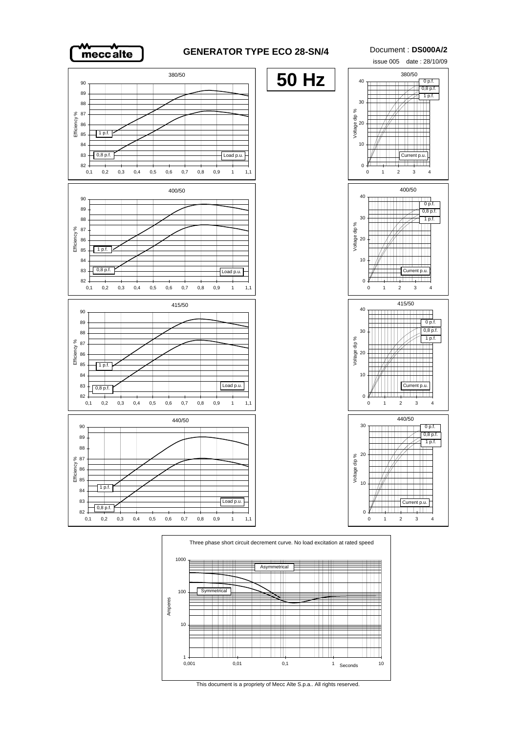

## **GENERATOR TYPE ECO 28-SN/4** Document : **DS000A/2**





This document is a propriety of Mecc Alte S.p.a.. All rights reserved.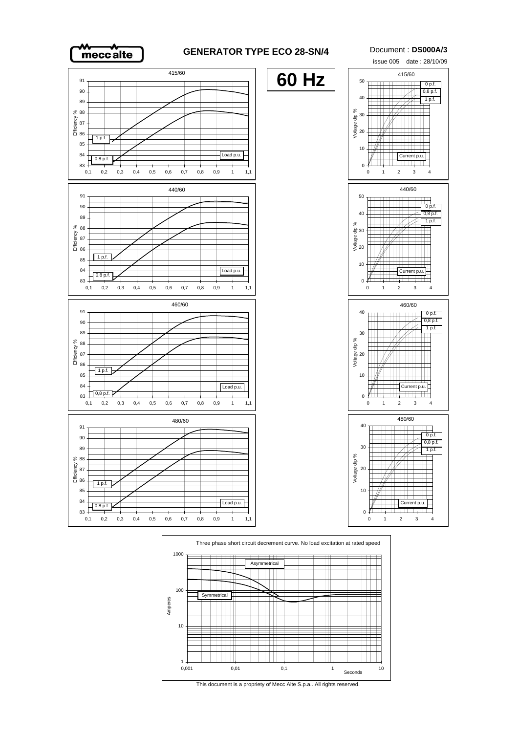

## **GENERATOR TYPE ECO 28-SN/4** Document : **DS000A/3**





This document is a propriety of Mecc Alte S.p.a.. All rights reserved.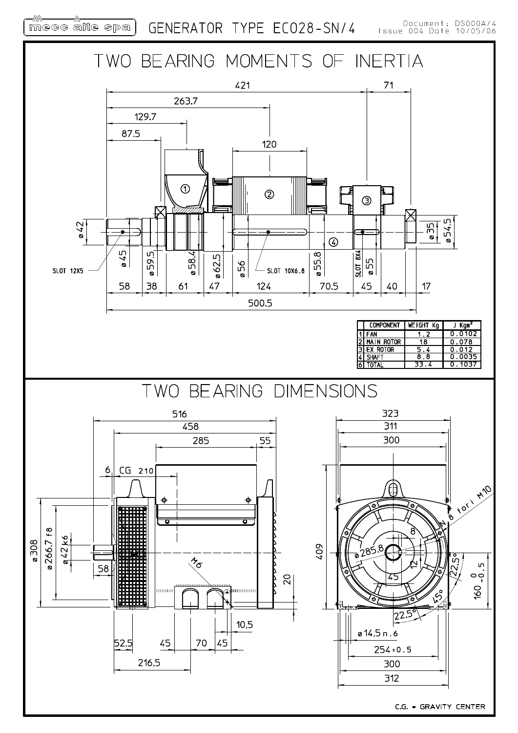